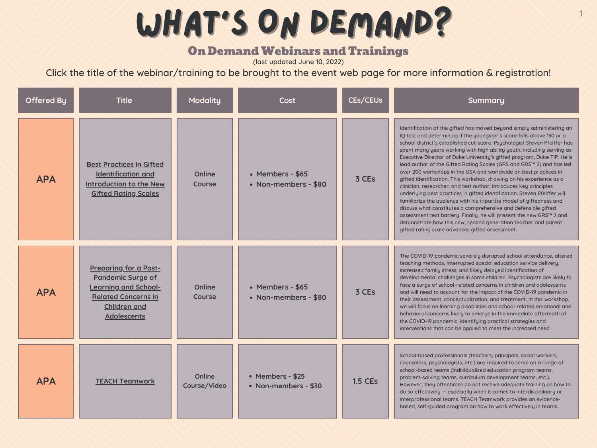# WHAT'S ON DEMAND?

## **On Demand Webinars and Trainings**

| <b>Offered By</b> | <b>Title</b>                                                                                                                                                | <b>Modality</b>                | <b>Cost</b>                              | CEs/CEUs       | Summary                                                                                                                                                                                                                                                                                                                                                                                                                                                                                                                                                                                                                                                                                                                                                                                                                                                                                                                                                                                                                                                                                      |
|-------------------|-------------------------------------------------------------------------------------------------------------------------------------------------------------|--------------------------------|------------------------------------------|----------------|----------------------------------------------------------------------------------------------------------------------------------------------------------------------------------------------------------------------------------------------------------------------------------------------------------------------------------------------------------------------------------------------------------------------------------------------------------------------------------------------------------------------------------------------------------------------------------------------------------------------------------------------------------------------------------------------------------------------------------------------------------------------------------------------------------------------------------------------------------------------------------------------------------------------------------------------------------------------------------------------------------------------------------------------------------------------------------------------|
| <b>APA</b>        | <b>Best Practices in Gifted</b><br><b>Identification and</b><br>Introduction to the New<br><b>Gifted Rating Scales</b>                                      | <b>Online</b><br><b>Course</b> | • Members - \$65<br>• Non-members - \$80 | 3 CEs          | Identification of the gifted has moved beyond simply administering an<br>IQ test and determining if the youngster's score falls above 130 or a<br>school district's established cut-score. Psychologist Steven Pfeiffer has<br>spent many years working with high ability youth, including serving as<br>Executive Director of Duke University's gifted program, Duke TIP. He is<br>lead author of the Gifted Rating Scales (GRS and GRS™ 2) and has led<br>over 200 workshops in the USA and worldwide on best practices in<br>gifted identification. This workshop, drawing on his experience as a<br>clinician, researcher, and test author, introduces key principles<br>underlying best practices in gifted identification. Steven Pfeiffer will<br>familiarize the audience with his tripartite model of giftedness and<br>discuss what constitutes a comprehensive and defensible gifted<br>assessment test battery. Finally, he will present the new GRS™ 2 and<br>demonstrate how this new, second generation teacher and parent<br>gifted rating scale advances gifted assessment. |
| <b>APA</b>        | <b>Preparing for a Post-</b><br><b>Pandemic Surge of</b><br><b>Learning and School-</b><br><b>Related Concerns in</b><br><b>Children and</b><br>Adolescents | <b>Online</b><br><b>Course</b> | • Members - \$65<br>• Non-members - \$80 | 3 CEs          | The COVID-19 pandemic severely disrupted school attendance, altered<br>teaching methods, interrupted special education service delivery,<br>increased family stress, and likely delayed identification of<br>developmental challenges in some children. Psychologists are likely to<br>face a surge of school-related concerns in children and adolescents<br>and will need to account for the impact of the COVID-19 pandemic in<br>their assessment, conceptualization, and treatment. In this workshop,<br>we will focus on learning disabilities and school-related emotional and<br>behavioral concerns likely to emerge in the immediate aftermath of<br>the COVID-19 pandemic, identifying practical strategies and<br>interventions that can be applied to meet the increased need.                                                                                                                                                                                                                                                                                                  |
| <b>APA</b>        | <b>TEACH Teamwork</b>                                                                                                                                       | <b>Online</b><br>Course/Video  | • Members - \$25<br>• Non-members - \$30 | <b>1.5 CEs</b> | School-based professionals (teachers, principals, social workers,<br>counselors, psychologists, etc.) are required to serve on a range of<br>school-based teams (individualized education program teams,<br>problem-solving teams, curriculum development teams, etc.).<br>However, they oftentimes do not receive adequate training on how to<br>do so effectively - especially when it comes to interdisciplinary or<br>interprofessional teams. TEACH Teamwork provides an evidence-<br>based, self-guided program on how to work effectively in teams.                                                                                                                                                                                                                                                                                                                                                                                                                                                                                                                                   |

(last updated June 10, 2022)

Click the title of the webinar/training to be brought to the event web page for more information & registration!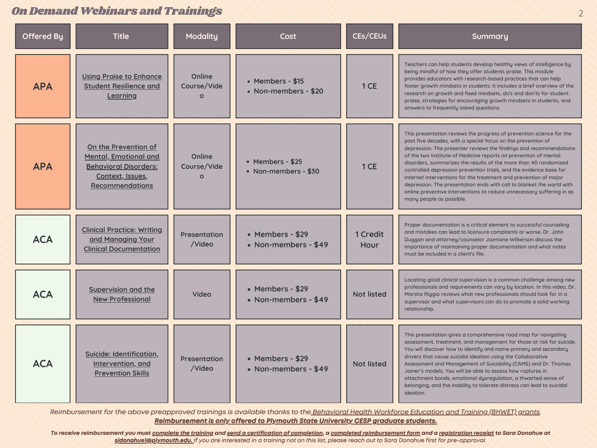| <b>Offered By</b> | <b>Title</b>                                                                                                                | <b>Modality</b>                              | Cost                                     | CEs/CEUs                | Summary                                                                                                                                                                                                                                                                                                                                                                                                                                                                                                                                                                                                                                                                    |
|-------------------|-----------------------------------------------------------------------------------------------------------------------------|----------------------------------------------|------------------------------------------|-------------------------|----------------------------------------------------------------------------------------------------------------------------------------------------------------------------------------------------------------------------------------------------------------------------------------------------------------------------------------------------------------------------------------------------------------------------------------------------------------------------------------------------------------------------------------------------------------------------------------------------------------------------------------------------------------------------|
| <b>APA</b>        | <b>Using Praise to Enhance</b><br><b>Student Resilience and</b><br>Learning                                                 | <b>Online</b><br>Course/Vide<br>$\Omega$     | • Members - \$15<br>• Non-members - \$20 | 1 CE                    | Teachers can help students develop healthy views of intelligence by<br>being mindful of how they offer students praise. This module<br>provides educators with research-based practices that can help<br>foster growth mindsets in students. It includes a brief overview of the<br>research on growth and fixed mindsets, do's and don'ts for student<br>praise, strategies for encouraging growth mindsets in students, and<br>answers to frequently asked questions.                                                                                                                                                                                                    |
| <b>APA</b>        | On the Prevention of<br><b>Mental, Emotional and</b><br><b>Behavioral Disorders:</b><br>Context, Issues,<br>Recommendations | <b>Online</b><br>Course/Vide<br>$\mathbf{O}$ | • Members - \$25<br>• Non-members - \$30 | 1 CE                    | This presentation reviews the progress of prevention science for the<br>past five decades, with a special focus on the prevention of<br>depression. The presenter reviews the findings and recommendations<br>of the two Institute of Medicine reports on prevention of mental<br>disorders, summarizes the results of the more than 40 randomized<br>controlled depression prevention trials, and the evidence base for<br>Internet interventions for the treatment and prevention of major<br>depression. The presentation ends with call to blanket the world with<br>online preventive interventions to reduce unnecessary suffering in as<br>many people as possible. |
| <b>ACA</b>        | <b>Clinical Practice: Writing</b><br><u>and Managing Your</u><br><b>Clinical Documentation</b>                              | <b>Presentation</b><br>/Video                | • Members - \$29<br>• Non-members - \$49 | <b>1 Credit</b><br>Hour | Proper documentation is a critical element to successful counseling<br>and mistakes can lead to licensure complaints or worse. Dr. John<br>Duggan and attorney/counselor Jazmone Wilkerson discuss the<br>importance of maintaining proper documentation and what notes<br>must be included in a client's file.                                                                                                                                                                                                                                                                                                                                                            |
| <b>ACA</b>        | <b>Supervision and the</b><br><b>New Professional</b>                                                                       | Video                                        | • Members - \$29<br>• Non-members - \$49 | <b>Not listed</b>       | Locating good clinical supervision is a common challenge among new<br>professionals and requirements can vary by location. In this video, Dr.<br>Marsha Riggio reviews what new professionals should look for in a<br>supervisor and what supervisors can do to promote a solid working<br>relationship.                                                                                                                                                                                                                                                                                                                                                                   |
| <b>ACA</b>        | Suicide: Identification,<br>Intervention, and<br><b>Prevention Skills</b>                                                   | <b>Presentation</b><br>/Video                | • Members - \$29<br>• Non-members - \$49 | <b>Not listed</b>       | This presentation gives a comprehensive road map for navigating<br>assessment, treatment, and management for those at risk for suicide.<br>You will discover how to identify and name primary and secondary<br>drivers that cause suicidal ideation using the Collaborative<br>Assessment and Management of Suicidality (CAMS) and Dr. Thomas<br>Joiner's models. You will be able to assess how ruptures in<br>attachment bonds, emotional dysregulation, a thwarted sense of<br>belonging, and the inability to tolerate distress can lead to suicidal<br>ideation.                                                                                                      |

Reimbursement for the above preapproved trainings is available thanks to the Behavioral Health Workforce Education and Training (BHWET) grants. *Reimbursement is only offered to Plymouth State University CESP graduate students.*

To receive reimbursement you must complete the training and send a certification of completion, a completed reimbursement form and a registration receipt to Sara Donahue at sidonahuel@plymouth.edu. If you are interested in a training not on this list, please reach out to Sara Donahue first for pre-approval.

#### OnDemandWebinarsandTrainings 2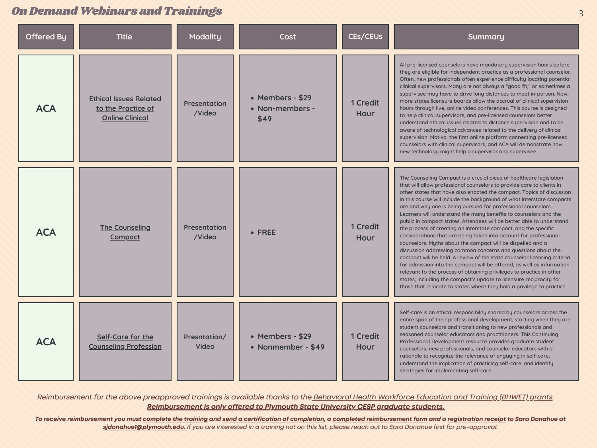| <b>Offered By</b> | <b>Title</b>                                                                  | <b>Modality</b>               | <b>Cost</b>                                 | CEs/CEUs                       | Summary                                                                                                                                                                                                                                                                                                                                                                                                                                                                                                                                                                                                                                                                                                                                                                                                                                                                                                                                                                                                                                                                                                                                                              |
|-------------------|-------------------------------------------------------------------------------|-------------------------------|---------------------------------------------|--------------------------------|----------------------------------------------------------------------------------------------------------------------------------------------------------------------------------------------------------------------------------------------------------------------------------------------------------------------------------------------------------------------------------------------------------------------------------------------------------------------------------------------------------------------------------------------------------------------------------------------------------------------------------------------------------------------------------------------------------------------------------------------------------------------------------------------------------------------------------------------------------------------------------------------------------------------------------------------------------------------------------------------------------------------------------------------------------------------------------------------------------------------------------------------------------------------|
| <b>ACA</b>        | <b>Ethical Issues Related</b><br>to the Practice of<br><b>Online Clinical</b> | <b>Presentation</b><br>/Video | • Members - \$29<br>• Non-members -<br>\$49 | <b>1 Credit</b><br><b>Hour</b> | All pre-licensed counselors have mandatory supervision hours before<br>they are eligible for independent practice as a professional counselor.<br>Often, new professionals often experience difficulty locating potential<br>clinical supervisors. Many are not always a "good fit," or sometimes a<br>supervisee may have to drive long distances to meet in-person. Now,<br>more states licensure boards allow the accrual of clinical supervision<br>hours through live, online video conferences. This course is designed<br>to help clinical supervisors, and pre-licensed counselors better<br>understand ethical issues related to distance supervision and to be<br>aware of technological advances related to the delivery of clinical<br>supervision. Motivo, the first online platform connecting pre-licensed<br>counselors with clinical supervisors, and ACA will demonstrate how<br>new technology might help a supervisor and supervisee.                                                                                                                                                                                                            |
| <b>ACA</b>        | <b>The Counseling</b><br><b>Compact</b>                                       | <b>Presentation</b><br>/Video | $\bullet$ FREE                              | <b>1 Credit</b><br>Hour        | The Counseling Compact is a crucial piece of healthcare legislation<br>that will allow professional counselors to provide care to clients in<br>other states that have also enacted the compact. Topics of discussion<br>in this course will include the background of what interstate compacts<br>are and why one is being pursued for professional counselors.<br>Learners will understand the many benefits to counselors and the<br>public in compact states. Attendees will be better able to understand<br>the process of creating an interstate compact, and the specific<br>considerations that are being taken into account for professional<br>counselors. Myths about the compact will be dispelled and a<br>discussion addressing common concerns and questions about the<br>compact will be held. A review of the state counselor licensing criteria<br>for admission into the compact will be offered, as well as information<br>relevant to the process of obtaining privileges to practice in other<br>states, including the compact's update to licensure reciprocity for<br>those that relocate to states where they hold a privilege to practice. |
| <b>ACA</b>        | Self-Care for the<br><b>Counseling Profession</b>                             | Presntation/<br>Video         | • Members - \$29<br>• Nonmember - \$49      | 1 Credit<br>Hour               | Self-care is an ethical responsibility shared by counselors across the<br>entire span of their professional development, starting when they are<br>student counselors and transitioning to new professionals and<br>seasoned counselor educators and practitioners. This Continuing<br>Professional Development resource provides graduate student<br>counselors, new professionals, and counselor educators with a<br>rationale to recognize the relevance of engaging in self-care,<br>understand the implication of practicing self-care, and identify<br>strategies for implementing self-care.                                                                                                                                                                                                                                                                                                                                                                                                                                                                                                                                                                  |

Reimbursement for the above preapproved trainings is available thanks to the Behavioral Health Workforce Education and Training (BHWET) grants. *Reimbursement is only offered to Plymouth State University CESP graduate students.*

To receive reimbursement you must complete the training and send a certification of completion, a completed reimbursement form and a registration receipt to Sara Donahue at sidonahuel@plymouth.edu. If you are interested in a training not on this list, please reach out to Sara Donahue first for pre-approval.

#### OnDemandWebinarsandTrainings 3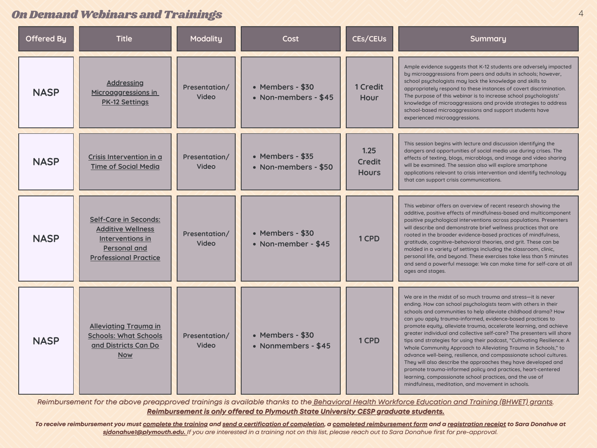#### On Demand Webinars and Trainings 44 (1999) 44 (1999) 44 (1999) 44 (1999) 44 (1999) 44 (1999) 44 (1999) 44 (1999) 44 (1999) 45 (1999) 45 (1999) 45 (1999) 45 (1999) 45 (1999) 45 (1999) 45 (1999) 45 (1999) 45 (1999) 45 (1999)

| <b>Offered By</b> | <b>Title</b>                                                                                                                        | <b>Modality</b>               | Cost                                     | CEs/CEUs                              | Summary                                                                                                                                                                                                                                                                                                                                                                                                                                                                                                                                                                                                                                                                                                                                                                                                                                                                              |
|-------------------|-------------------------------------------------------------------------------------------------------------------------------------|-------------------------------|------------------------------------------|---------------------------------------|--------------------------------------------------------------------------------------------------------------------------------------------------------------------------------------------------------------------------------------------------------------------------------------------------------------------------------------------------------------------------------------------------------------------------------------------------------------------------------------------------------------------------------------------------------------------------------------------------------------------------------------------------------------------------------------------------------------------------------------------------------------------------------------------------------------------------------------------------------------------------------------|
| <b>NASP</b>       | <b>Addressing</b><br>Microaggressions in<br><b>PK-12 Settings</b>                                                                   | Presentation/<br>Video        | • Members - \$30<br>• Non-members - \$45 | 1 Credit<br>Hour                      | Ample evidence suggests that K-12 students are adversely impacted<br>by microaggressions from peers and adults in schools; however,<br>school psychologists may lack the knowledge and skills to<br>appropriately respond to these instances of covert discrimination.<br>The purpose of this webinar is to increase school psychologists'<br>knowledge of microaggressions and provide strategies to address<br>school-based microaggressions and support students have<br>experienced microaggressions.                                                                                                                                                                                                                                                                                                                                                                            |
| <b>NASP</b>       | Crisis Intervention in a<br><b>Time of Social Media</b>                                                                             | Presentation/<br><b>Video</b> | • Members - \$35<br>• Non-members - \$50 | 1.25<br><b>Credit</b><br><b>Hours</b> | This session begins with lecture and discussion identifying the<br>dangers and opportunities of social media use during crises. The<br>effects of texting, blogs, microblogs, and image and video sharing<br>will be examined. The session also will explore smartphone<br>applications relevant to crisis intervention and identify technology<br>that can support crisis communications.                                                                                                                                                                                                                                                                                                                                                                                                                                                                                           |
| <b>NASP</b>       | <b>Self-Care in Seconds:</b><br><b>Additive Wellness</b><br>Interventions in<br><b>Personal and</b><br><b>Professional Practice</b> | Presentation/<br>Video        | • Members - \$30<br>• Non-member - \$45  | 1 CPD                                 | This webinar offers an overview of recent research showing the<br>additive, positive effects of mindfulness-based and multicomponent<br>positive psychological interventions across populations. Presenters<br>will describe and demonstrate brief wellness practices that are<br>rooted in the broader evidence-based practices of mindfulness,<br>gratitude, cognitive-behavioral theories, and grit. These can be<br>molded in a variety of settings including the classroom, clinic,<br>personal life, and beyond. These exercises take less than 5 minutes<br>and send a powerful message: We can make time for self-care at all<br>ages and stages.                                                                                                                                                                                                                            |
| <b>NASP</b>       | <b>Alleviating Trauma in</b><br><b>Schools: What Schools</b><br>and Districts Can Do<br><u>Now</u>                                  | Presentation/<br>Video        | • Members - \$30<br>• Nonmembers - \$45  | 1 CPD                                 | We are in the midst of so much trauma and stress-it is never<br>ending. How can school psychologists team with others in their<br>schools and communities to help alleviate childhood drama? How<br>can you apply trauma-informed, evidence-based practices to<br>promote equity, alleviate trauma, accelerate learning, and achieve<br>greater individual and collective self-care? The presenters will share<br>tips and strategies for using their podcast, "Cultivating Resilience: A<br>Whole Community Approach to Alleviating Trauma in Schools," to<br>advance well-being, resilience, and compassionate school cultures.<br>They will also describe the approaches they have developed and<br>promote trauma-informed policy and practices, heart-centered<br>learning, compassionate school practices, and the use of<br>mindfulness, meditation, and movement in schools. |

Reimbursement for the above preapproved trainings is available thanks to the Behavioral Health Workforce Education and Training (BHWET) grants. *Reimbursement is only offered to Plymouth State University CESP graduate students.*

To receive reimbursement you must complete the training and send a certification of completion, a completed reimbursement form and a registration receipt to Sara Donahue at sidonahuel@plymouth.edu. If you are interested in a training not on this list, please reach out to Sara Donahue first for pre-approval.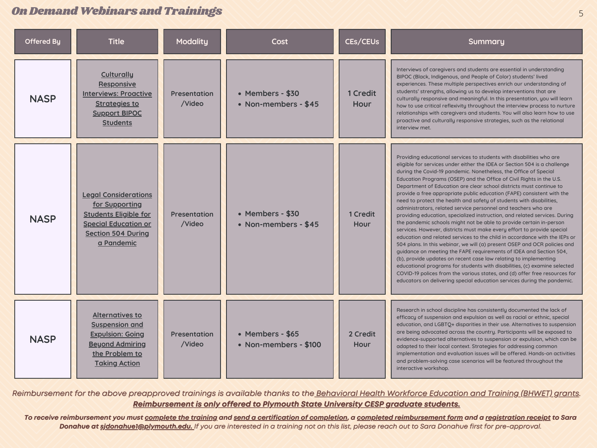| <b>Offered By</b> | <b>Title</b>                                                                                                                                                   | <b>Modality</b>               | Cost                                      | CEs/CEUs                       | Summary                                                                                                                                                                                                                                                                                                                                                                                                                                                                                                                                                                                                                                                                                                                                                                                                                                                                                                                                                                                                                                                                                                                                                                                                                                                                                                                                                            |
|-------------------|----------------------------------------------------------------------------------------------------------------------------------------------------------------|-------------------------------|-------------------------------------------|--------------------------------|--------------------------------------------------------------------------------------------------------------------------------------------------------------------------------------------------------------------------------------------------------------------------------------------------------------------------------------------------------------------------------------------------------------------------------------------------------------------------------------------------------------------------------------------------------------------------------------------------------------------------------------------------------------------------------------------------------------------------------------------------------------------------------------------------------------------------------------------------------------------------------------------------------------------------------------------------------------------------------------------------------------------------------------------------------------------------------------------------------------------------------------------------------------------------------------------------------------------------------------------------------------------------------------------------------------------------------------------------------------------|
| <b>NASP</b>       | <b>Culturally</b><br>Responsive<br><b>Interviews: Proactive</b><br><b>Strategies to</b><br><b>Support BIPOC</b><br>Students                                    | <b>Presentation</b><br>/Video | • Members - \$30<br>• Non-members - \$45  | 1 Credit<br>Hour               | Interviews of caregivers and students are essential in understanding<br>BIPOC (Black, Indigenous, and People of Color) students' lived<br>experiences. These multiple perspectives enrich our understanding of<br>students' strengths, allowing us to develop interventions that are<br>culturally responsive and meaningful. In this presentation, you will learn<br>how to use critical reflexivity throughout the interview process to nurture<br>relationships with caregivers and students. You will also learn how to use<br>proactive and culturally responsive strategies, such as the relational<br>interview met.                                                                                                                                                                                                                                                                                                                                                                                                                                                                                                                                                                                                                                                                                                                                        |
| <b>NASP</b>       | <b>Legal Considerations</b><br>for Supporting<br><b>Students Eligible for</b><br><b>Special Education or</b><br><b>Section 504 During</b><br><u>a Pandemic</u> | <b>Presentation</b><br>/Video | • Members - \$30<br>• Non-members - \$45  | <b>1 Credit</b><br><b>Hour</b> | Providing educational services to students with disabilities who are<br>eligible for services under either the IDEA or Section 504 is a challenge<br>during the Covid-19 pandemic. Nonetheless, the Office of Special<br>Education Programs (OSEP) and the Office of Civil Rights in the U.S.<br>Department of Education are clear school districts must continue to<br>provide a free appropriate public education (FAPE) consistent with the<br>need to protect the health and safety of students with disabilities,<br>administrators, related service personnel and teachers who are<br>providing education, specialized instruction, and related services. During<br>the pandemic schools might not be able to provide certain in-person<br>services. However, districts must make every effort to provide special<br>education and related services to the child in accordance with the IEPs or<br>504 plans. In this webinar, we will (a) present OSEP and OCR policies and<br>guidance on meeting the FAPE requirements of IDEA and Section 504,<br>(b), provide updates on recent case law relating to implementing<br>educational programs for students with disabilities, (c) examine selected<br>COVID-19 polices from the various states, and (d) offer free resources for<br>educators on delivering special education services during the pandemic. |
| <b>NASP</b>       | <b>Alternatives to</b><br><b>Suspension and</b><br><b>Expulsion: Going</b><br><b>Beyond Admiring</b><br>the Problem to<br><b>Taking Action</b>                 | <b>Presentation</b><br>/Video | • Members - \$65<br>• Non-members - \$100 | 2 Credit<br><b>Hour</b>        | Research in school discipline has consistently documented the lack of<br>efficacy of suspension and expulsion as well as racial or ethnic, special<br>education, and LGBTQ+ disparities in their use. Alternatives to suspension<br>are being advocated across the country. Participants will be exposed to<br>evidence-supported alternatives to suspension or expulsion, which can be<br>adapted to their local context. Strategies for addressing common<br>implementation and evaluation issues will be offered. Hands-on activities<br>and problem-solving case scenarios will be featured throughout the<br>interactive workshop.                                                                                                                                                                                                                                                                                                                                                                                                                                                                                                                                                                                                                                                                                                                            |

Reimbursement for the above preapproved trainings is available thanks to the Behavioral Health Workforce Education and Training (BHWET) grants. *Reimbursement is only offered to Plymouth State University CESP graduate students.*

To receive reimbursement you must complete the training and send a certification of completion, a completed reimbursement form and a registration receipt to Sara Donahue at sidonahuel@plymouth.edu. If you are interested in a training not on this list, please reach out to Sara Donahue first for pre-approval.

### OnDemandWebinarsandTrainings 5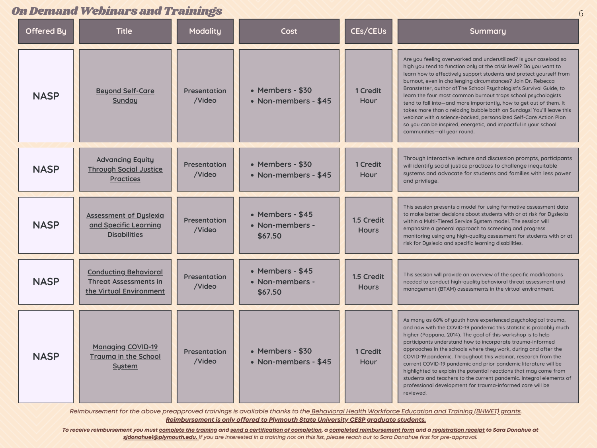#### On Demand Webinars and Trainings

|                   | DU DENETIU WEDHEI S EHU TREHINES                                                        |                               |                                                 |                            |                                                                                                                                                                                                                                                                                                                                                                                                                                                                                                                                                                                                                                                                                                                                             |  |  |
|-------------------|-----------------------------------------------------------------------------------------|-------------------------------|-------------------------------------------------|----------------------------|---------------------------------------------------------------------------------------------------------------------------------------------------------------------------------------------------------------------------------------------------------------------------------------------------------------------------------------------------------------------------------------------------------------------------------------------------------------------------------------------------------------------------------------------------------------------------------------------------------------------------------------------------------------------------------------------------------------------------------------------|--|--|
| <b>Offered By</b> | <b>Title</b>                                                                            | <b>Modality</b>               | <b>Cost</b>                                     | CEs/CEUs                   | Summary                                                                                                                                                                                                                                                                                                                                                                                                                                                                                                                                                                                                                                                                                                                                     |  |  |
| <b>NASP</b>       | <b>Beyond Self-Care</b><br><b>Sunday</b>                                                | <b>Presentation</b><br>/Video | • Members - \$30<br>• Non-members - \$45        | <b>1 Credit</b><br>Hour    | Are you feeling overworked and underutilized? Is your caseload so<br>high you tend to function only at the crisis level? Do you want to<br>learn how to effectively support students and protect yourself from<br>burnout, even in challenging circumstances? Join Dr. Rebecca<br>Branstetter, author of The School Psychologist's Survival Guide, to<br>learn the four most common burnout traps school psychologists<br>tend to fall into—and more importantly, how to get out of them. It<br>takes more than a relaxing bubble bath on Sundays! You'll leave this<br>webinar with a science-backed, personalized Self-Care Action Plan<br>so you can be inspired, energetic, and impactful in your school<br>communities-all year round. |  |  |
| <b>NASP</b>       | <b>Advancing Equity</b><br><b>Through Social Justice</b><br><b>Practices</b>            | <b>Presentation</b><br>/Video | • Members - \$30<br>• Non-members - \$45        | 1 Credit<br>Hour           | Through interactive lecture and discussion prompts, participants<br>will identify social justice practices to challenge inequitable<br>systems and advocate for students and families with less power<br>and privilege.                                                                                                                                                                                                                                                                                                                                                                                                                                                                                                                     |  |  |
| <b>NASP</b>       | <b>Assessment of Dyslexia</b><br>and Specific Learning<br><b>Disabilities</b>           | <b>Presentation</b><br>/Video | • Members - $$45$<br>• Non-members -<br>\$67.50 | 1.5 Credit<br><b>Hours</b> | This session presents a model for using formative assessment data<br>to make better decisions about students with or at risk for Dyslexia<br>within a Multi-Tiered Service System model. The session will<br>emphasize a general approach to screening and progress<br>monitoring using any high-quality assessment for students with or at<br>risk for Dyslexia and specific learning disabilities.                                                                                                                                                                                                                                                                                                                                        |  |  |
| <b>NASP</b>       | <b>Conducting Behavioral</b><br><b>Threat Assessments in</b><br>the Virtual Environment | <b>Presentation</b><br>/Video | • Members - $$45$<br>• Non-members -<br>\$67.50 | 1.5 Credit<br><b>Hours</b> | This session will provide an overview of the specific modifications<br>needed to conduct high-quality behavioral threat assessment and<br>management (BTAM) assessments in the virtual environment.                                                                                                                                                                                                                                                                                                                                                                                                                                                                                                                                         |  |  |
| <b>NASP</b>       | <b>Managing COVID-19</b><br><b>Trauma in the School</b><br><b>System</b>                | <b>Presentation</b><br>/Video | • Members - \$30<br>• Non-members - \$45        | 1 Credit<br>Hour           | As many as 68% of youth have experienced psychological trauma,<br>and now with the COVID-19 pandemic this statistic is probably much<br>higher (Pappano, 2014). The goal of this workshop is to help<br>participants understand how to incorporate trauma-informed<br>approaches in the schools where they work, during and after the<br>COVID-19 pandemic. Throughout this webinar, research from the<br>current COVID-19 pandemic and prior pandemic literature will be<br>highlighted to explain the potential reactions that may come from<br>students and teachers to the current pandemic. Integral elements of<br>professional development for trauma-informed care will be<br>reviewed.                                             |  |  |

Reimbursement for the above preapproved trainings is available thanks to the Behavioral Health Workforce Education and Training (BHWET) grants. *Reimbursement is only offered to Plymouth State University CESP graduate students.*

To receive reimbursement you must complete the training and send a certification of completion, a completed reimbursement form and a <u>registration receipt</u> to Sara Donahue at sidonahuel@plymouth.edu. If you are interested in a training not on this list, please reach out to Sara Donahue first for pre-approval.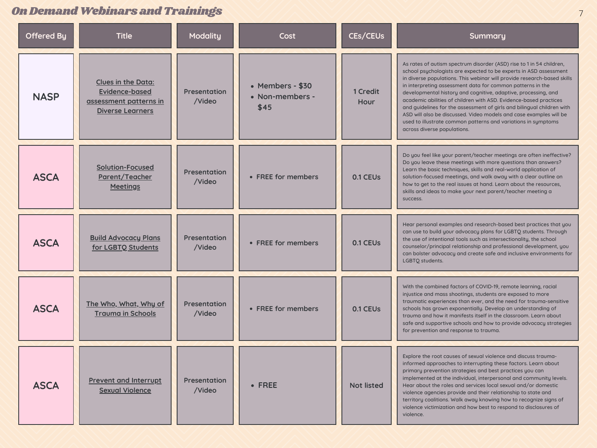## On Demand Webinars and Trainings

| <b>Offered By</b> | <b>Title</b>                                                                                            | <b>Modality</b>               | Cost                                        | <b>CES/CEUS</b>   | Summary                                                                                                                                                                                                                                                                                                                                                                                                                                                                                                                                                                                                                                                                   |
|-------------------|---------------------------------------------------------------------------------------------------------|-------------------------------|---------------------------------------------|-------------------|---------------------------------------------------------------------------------------------------------------------------------------------------------------------------------------------------------------------------------------------------------------------------------------------------------------------------------------------------------------------------------------------------------------------------------------------------------------------------------------------------------------------------------------------------------------------------------------------------------------------------------------------------------------------------|
| <b>NASP</b>       | <b>Clues in the Data:</b><br><b>Evidence-based</b><br>assessment patterns in<br><b>Diverse Learners</b> | <b>Presentation</b><br>/Video | • Members - \$30<br>• Non-members -<br>\$45 | 1 Credit<br>Hour  | As rates of autism spectrum disorder (ASD) rise to 1 in 54 children,<br>school psychologists are expected to be experts in ASD assessment<br>in diverse populations. This webinar will provide research-based skills<br>in interpreting assessment data for common patterns in the<br>developmental history and cognitive, adaptive, processing, and<br>academic abilities of children with ASD. Evidence-based practices<br>and guidelines for the assessment of girls and bilingual children with<br>ASD will also be discussed. Video models and case examples will be<br>used to illustrate common patterns and variations in symptoms<br>across diverse populations. |
| <b>ASCA</b>       | <b>Solution-Focused</b><br>Parent/Teacher<br><b>Meetings</b>                                            | <b>Presentation</b><br>/Video | • FREE for members                          | 0.1 CEUs          | Do you feel like your parent/teacher meetings are often ineffective?<br>Do you leave these meetings with more questions than answers?<br>Learn the basic techniques, skills and real-world application of<br>solution-focused meetings, and walk away with a clear outline on<br>how to get to the real issues at hand. Learn about the resources,<br>skills and ideas to make your next parent/teacher meeting a<br><b>SUCCESS.</b>                                                                                                                                                                                                                                      |
| <b>ASCA</b>       | <b>Build Advocacy Plans</b><br>for LGBTO Students                                                       | <b>Presentation</b><br>/Video | • FREE for members                          | 0.1 CEUs          | Hear personal examples and research-based best practices that you<br>can use to build your advocacy plans for LGBTQ students. Through<br>the use of intentional tools such as intersectionality, the school<br>counselor/principal relationship and professional development, you<br>can bolster advocacy and create safe and inclusive environments for<br>LGBTQ students.                                                                                                                                                                                                                                                                                               |
| <b>ASCA</b>       | The Who, What, Why of<br><b>Trauma in Schools</b>                                                       | <b>Presentation</b><br>/Video | • FREE for members                          | <b>0.1 CEUS</b>   | With the combined factors of COVID-19, remote learning, racial<br>injustice and mass shootings, students are exposed to more<br>traumatic experiences than ever, and the need for trauma-sensitive<br>schools has grown exponentially. Develop an understanding of<br>trauma and how it manifests itself in the classroom. Learn about<br>safe and supportive schools and how to provide advocacy strategies<br>for prevention and response to trauma.                                                                                                                                                                                                                    |
| <b>ASCA</b>       | <b>Prevent and Interrupt</b><br><b>Sexual Violence</b>                                                  | <b>Presentation</b><br>/Video | • FREE                                      | <b>Not listed</b> | Explore the root causes of sexual violence and discuss trauma-<br>informed approaches to interrupting these factors. Learn about<br>primary prevention strategies and best practices you can<br>implemented at the individual, interpersonal and community levels.<br>Hear about the roles and services local sexual and/or domestic<br>violence agencies provide and their relationship to state and<br>territory coalitions. Walk away knowing how to recognize signs of<br>violence victimization and how best to respond to disclosures of<br>violence.                                                                                                               |

7